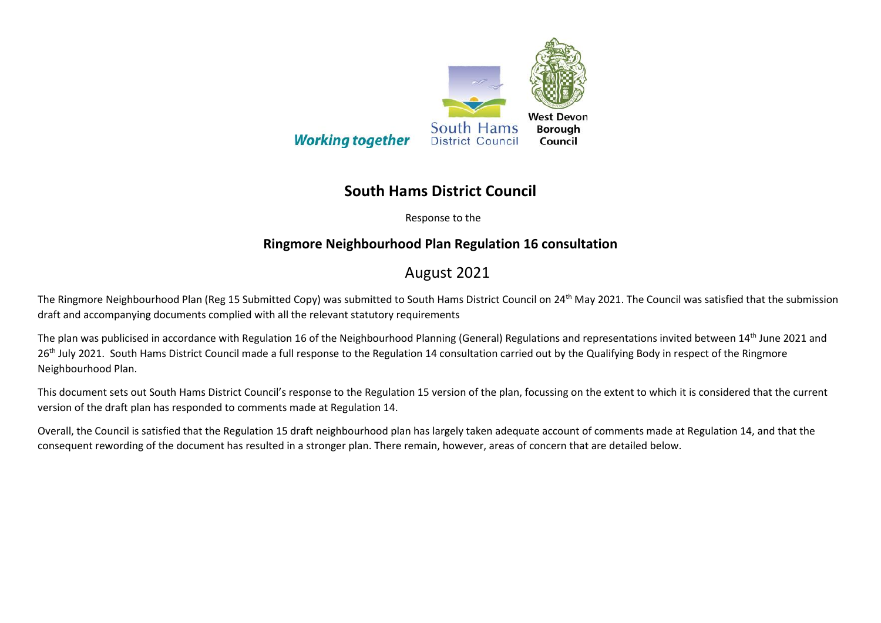

## **South Hams District Council**

Response to the

## **Ringmore Neighbourhood Plan Regulation 16 consultation**

## August 2021

The Ringmore Neighbourhood Plan (Reg 15 Submitted Copy) was submitted to South Hams District Council on 24<sup>th</sup> May 2021. The Council was satisfied that the submission draft and accompanying documents complied with all the relevant statutory requirements

The plan was publicised in accordance with Regulation 16 of the Neighbourhood Planning (General) Regulations and representations invited between 14<sup>th</sup> June 2021 and 26<sup>th</sup> July 2021. South Hams District Council made a full response to the Regulation 14 consultation carried out by the Qualifying Body in respect of the Ringmore Neighbourhood Plan.

This document sets out South Hams District Council's response to the Regulation 15 version of the plan, focussing on the extent to which it is considered that the current version of the draft plan has responded to comments made at Regulation 14.

Overall, the Council is satisfied that the Regulation 15 draft neighbourhood plan has largely taken adequate account of comments made at Regulation 14, and that the consequent rewording of the document has resulted in a stronger plan. There remain, however, areas of concern that are detailed below.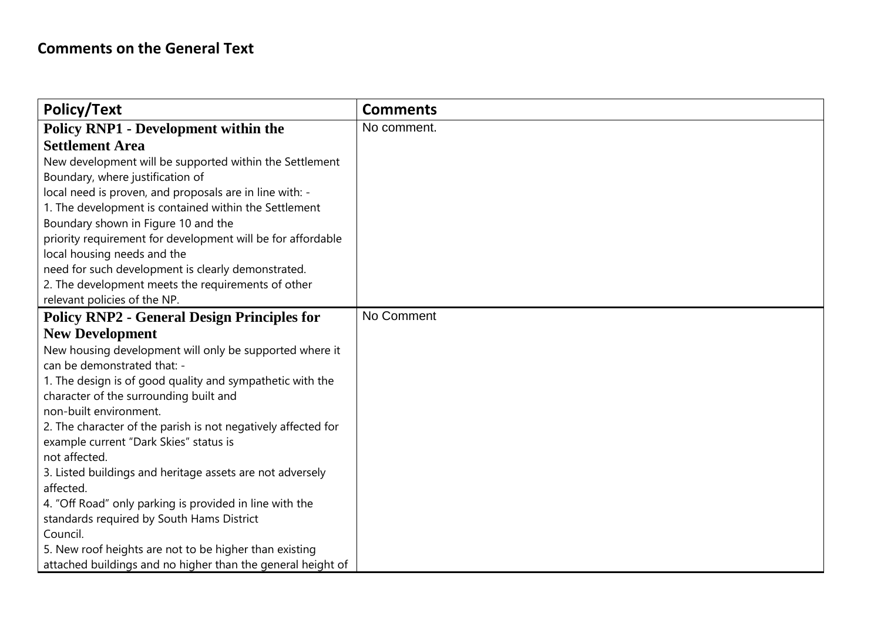| <b>Policy/Text</b>                                            | <b>Comments</b> |
|---------------------------------------------------------------|-----------------|
| <b>Policy RNP1 - Development within the</b>                   | No comment.     |
| <b>Settlement Area</b>                                        |                 |
| New development will be supported within the Settlement       |                 |
| Boundary, where justification of                              |                 |
| local need is proven, and proposals are in line with: -       |                 |
| 1. The development is contained within the Settlement         |                 |
| Boundary shown in Figure 10 and the                           |                 |
| priority requirement for development will be for affordable   |                 |
| local housing needs and the                                   |                 |
| need for such development is clearly demonstrated.            |                 |
| 2. The development meets the requirements of other            |                 |
| relevant policies of the NP.                                  |                 |
| <b>Policy RNP2 - General Design Principles for</b>            | No Comment      |
| <b>New Development</b>                                        |                 |
| New housing development will only be supported where it       |                 |
| can be demonstrated that: -                                   |                 |
| 1. The design is of good quality and sympathetic with the     |                 |
| character of the surrounding built and                        |                 |
| non-built environment.                                        |                 |
| 2. The character of the parish is not negatively affected for |                 |
| example current "Dark Skies" status is                        |                 |
| not affected.                                                 |                 |
| 3. Listed buildings and heritage assets are not adversely     |                 |
| affected.                                                     |                 |
| 4. "Off Road" only parking is provided in line with the       |                 |
| standards required by South Hams District                     |                 |
| Council.                                                      |                 |
| 5. New roof heights are not to be higher than existing        |                 |
| attached buildings and no higher than the general height of   |                 |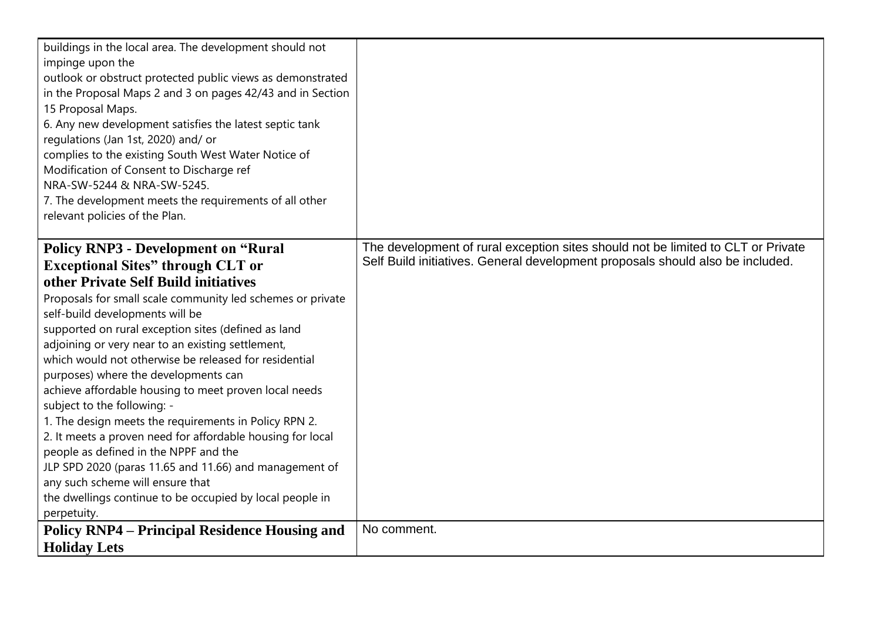| buildings in the local area. The development should not<br>impinge upon the<br>outlook or obstruct protected public views as demonstrated<br>in the Proposal Maps 2 and 3 on pages 42/43 and in Section<br>15 Proposal Maps.<br>6. Any new development satisfies the latest septic tank<br>regulations (Jan 1st, 2020) and/ or<br>complies to the existing South West Water Notice of<br>Modification of Consent to Discharge ref<br>NRA-SW-5244 & NRA-SW-5245.<br>7. The development meets the requirements of all other<br>relevant policies of the Plan.                                                                                                                                                                                                                                                                                                                   |                                                                                                                                                                    |
|-------------------------------------------------------------------------------------------------------------------------------------------------------------------------------------------------------------------------------------------------------------------------------------------------------------------------------------------------------------------------------------------------------------------------------------------------------------------------------------------------------------------------------------------------------------------------------------------------------------------------------------------------------------------------------------------------------------------------------------------------------------------------------------------------------------------------------------------------------------------------------|--------------------------------------------------------------------------------------------------------------------------------------------------------------------|
| <b>Policy RNP3 - Development on "Rural</b><br><b>Exceptional Sites"</b> through CLT or<br>other Private Self Build initiatives<br>Proposals for small scale community led schemes or private<br>self-build developments will be<br>supported on rural exception sites (defined as land<br>adjoining or very near to an existing settlement,<br>which would not otherwise be released for residential<br>purposes) where the developments can<br>achieve affordable housing to meet proven local needs<br>subject to the following: -<br>1. The design meets the requirements in Policy RPN 2.<br>2. It meets a proven need for affordable housing for local<br>people as defined in the NPPF and the<br>JLP SPD 2020 (paras 11.65 and 11.66) and management of<br>any such scheme will ensure that<br>the dwellings continue to be occupied by local people in<br>perpetuity. | The development of rural exception sites should not be limited to CLT or Private<br>Self Build initiatives. General development proposals should also be included. |
| <b>Policy RNP4 – Principal Residence Housing and</b><br><b>Holiday Lets</b>                                                                                                                                                                                                                                                                                                                                                                                                                                                                                                                                                                                                                                                                                                                                                                                                   | No comment.                                                                                                                                                        |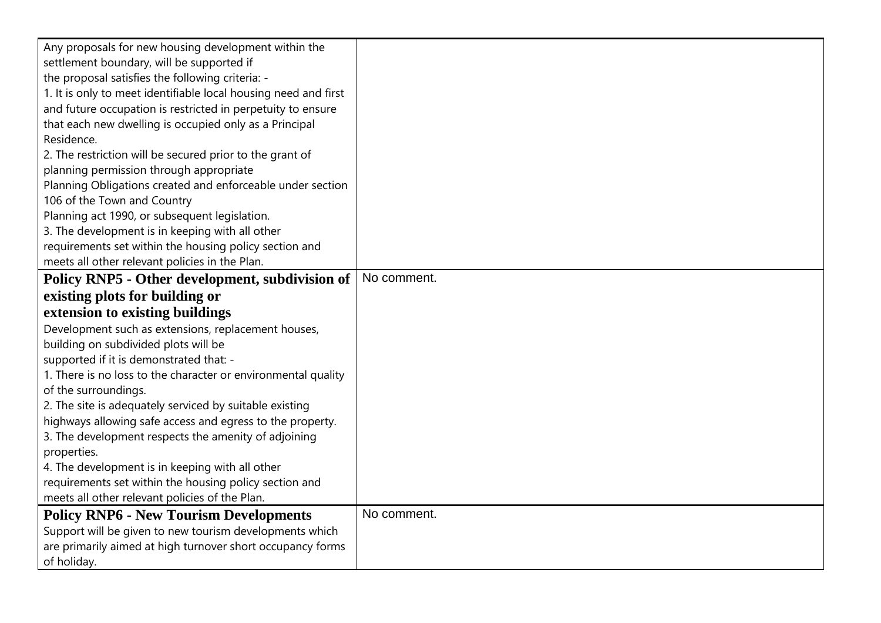| Any proposals for new housing development within the            |             |
|-----------------------------------------------------------------|-------------|
| settlement boundary, will be supported if                       |             |
| the proposal satisfies the following criteria: -                |             |
| 1. It is only to meet identifiable local housing need and first |             |
| and future occupation is restricted in perpetuity to ensure     |             |
| that each new dwelling is occupied only as a Principal          |             |
| Residence.                                                      |             |
| 2. The restriction will be secured prior to the grant of        |             |
| planning permission through appropriate                         |             |
| Planning Obligations created and enforceable under section      |             |
| 106 of the Town and Country                                     |             |
| Planning act 1990, or subsequent legislation.                   |             |
| 3. The development is in keeping with all other                 |             |
| requirements set within the housing policy section and          |             |
| meets all other relevant policies in the Plan.                  |             |
| Policy RNP5 - Other development, subdivision of                 | No comment. |
| existing plots for building or                                  |             |
| extension to existing buildings                                 |             |
| Development such as extensions, replacement houses,             |             |
| building on subdivided plots will be                            |             |
| supported if it is demonstrated that: -                         |             |
| 1. There is no loss to the character or environmental quality   |             |
| of the surroundings.                                            |             |
| 2. The site is adequately serviced by suitable existing         |             |
| highways allowing safe access and egress to the property.       |             |
| 3. The development respects the amenity of adjoining            |             |
| properties.                                                     |             |
| 4. The development is in keeping with all other                 |             |
| requirements set within the housing policy section and          |             |
| meets all other relevant policies of the Plan.                  |             |
| <b>Policy RNP6 - New Tourism Developments</b>                   | No comment. |
| Support will be given to new tourism developments which         |             |
| are primarily aimed at high turnover short occupancy forms      |             |
| of holiday.                                                     |             |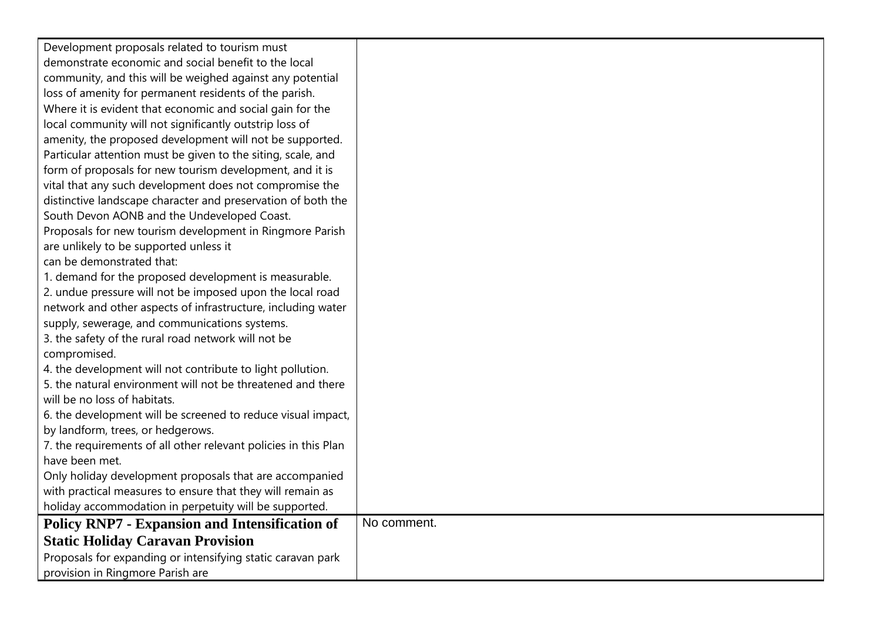| Development proposals related to tourism must                   |             |
|-----------------------------------------------------------------|-------------|
| demonstrate economic and social benefit to the local            |             |
| community, and this will be weighed against any potential       |             |
| loss of amenity for permanent residents of the parish.          |             |
| Where it is evident that economic and social gain for the       |             |
| local community will not significantly outstrip loss of         |             |
| amenity, the proposed development will not be supported.        |             |
| Particular attention must be given to the siting, scale, and    |             |
| form of proposals for new tourism development, and it is        |             |
| vital that any such development does not compromise the         |             |
| distinctive landscape character and preservation of both the    |             |
| South Devon AONB and the Undeveloped Coast.                     |             |
| Proposals for new tourism development in Ringmore Parish        |             |
| are unlikely to be supported unless it                          |             |
| can be demonstrated that:                                       |             |
| 1. demand for the proposed development is measurable.           |             |
| 2. undue pressure will not be imposed upon the local road       |             |
| network and other aspects of infrastructure, including water    |             |
| supply, sewerage, and communications systems.                   |             |
| 3. the safety of the rural road network will not be             |             |
| compromised.                                                    |             |
| 4. the development will not contribute to light pollution.      |             |
| 5. the natural environment will not be threatened and there     |             |
| will be no loss of habitats.                                    |             |
| 6. the development will be screened to reduce visual impact,    |             |
| by landform, trees, or hedgerows.                               |             |
| 7. the requirements of all other relevant policies in this Plan |             |
| have been met.                                                  |             |
| Only holiday development proposals that are accompanied         |             |
| with practical measures to ensure that they will remain as      |             |
| holiday accommodation in perpetuity will be supported.          |             |
| <b>Policy RNP7 - Expansion and Intensification of</b>           | No comment. |
| <b>Static Holiday Caravan Provision</b>                         |             |
| Proposals for expanding or intensifying static caravan park     |             |
| provision in Ringmore Parish are                                |             |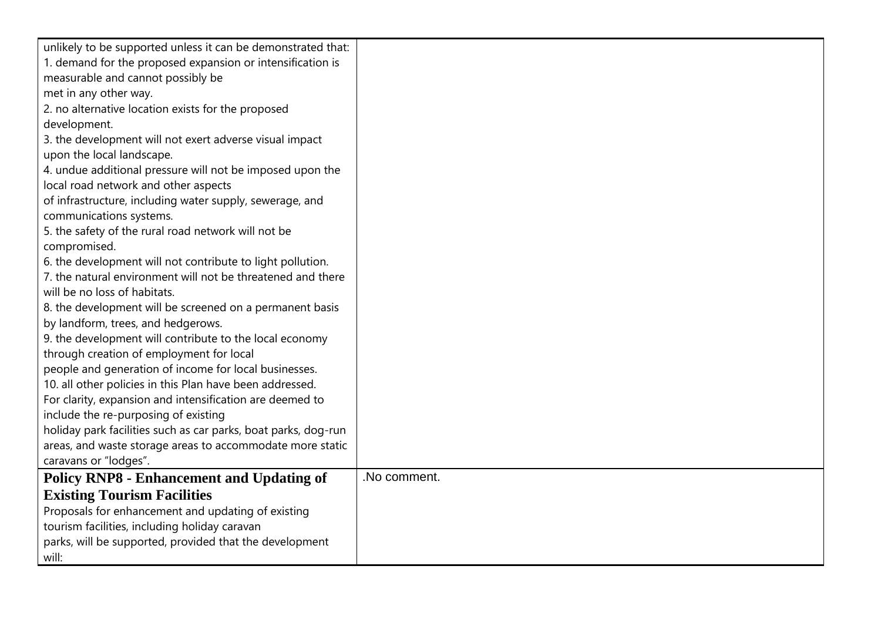| unlikely to be supported unless it can be demonstrated that:   |              |
|----------------------------------------------------------------|--------------|
| 1. demand for the proposed expansion or intensification is     |              |
| measurable and cannot possibly be                              |              |
| met in any other way.                                          |              |
| 2. no alternative location exists for the proposed             |              |
| development.                                                   |              |
| 3. the development will not exert adverse visual impact        |              |
| upon the local landscape.                                      |              |
| 4. undue additional pressure will not be imposed upon the      |              |
| local road network and other aspects                           |              |
| of infrastructure, including water supply, sewerage, and       |              |
| communications systems.                                        |              |
| 5. the safety of the rural road network will not be            |              |
| compromised.                                                   |              |
| 6. the development will not contribute to light pollution.     |              |
| 7. the natural environment will not be threatened and there    |              |
| will be no loss of habitats.                                   |              |
| 8. the development will be screened on a permanent basis       |              |
| by landform, trees, and hedgerows.                             |              |
| 9. the development will contribute to the local economy        |              |
| through creation of employment for local                       |              |
| people and generation of income for local businesses.          |              |
| 10. all other policies in this Plan have been addressed.       |              |
| For clarity, expansion and intensification are deemed to       |              |
| include the re-purposing of existing                           |              |
| holiday park facilities such as car parks, boat parks, dog-run |              |
| areas, and waste storage areas to accommodate more static      |              |
| caravans or "lodges".                                          |              |
| <b>Policy RNP8 - Enhancement and Updating of</b>               | .No comment. |
| <b>Existing Tourism Facilities</b>                             |              |
| Proposals for enhancement and updating of existing             |              |
| tourism facilities, including holiday caravan                  |              |
| parks, will be supported, provided that the development        |              |
| will:                                                          |              |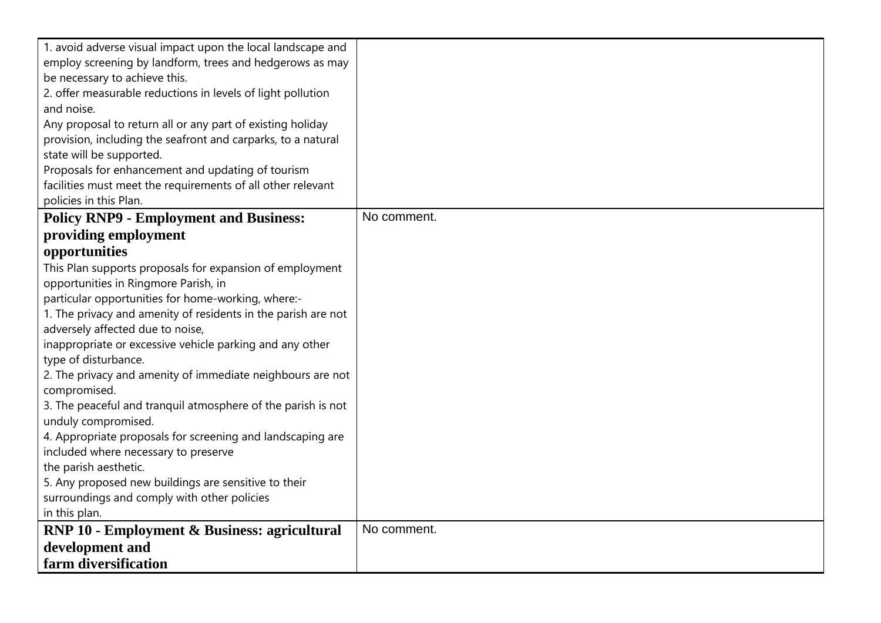| 1. avoid adverse visual impact upon the local landscape and                                         |             |
|-----------------------------------------------------------------------------------------------------|-------------|
| employ screening by landform, trees and hedgerows as may                                            |             |
| be necessary to achieve this.                                                                       |             |
| 2. offer measurable reductions in levels of light pollution                                         |             |
| and noise.                                                                                          |             |
| Any proposal to return all or any part of existing holiday                                          |             |
| provision, including the seafront and carparks, to a natural                                        |             |
| state will be supported.                                                                            |             |
| Proposals for enhancement and updating of tourism                                                   |             |
| facilities must meet the requirements of all other relevant                                         |             |
| policies in this Plan.                                                                              |             |
| <b>Policy RNP9 - Employment and Business:</b>                                                       | No comment. |
| providing employment                                                                                |             |
| opportunities                                                                                       |             |
| This Plan supports proposals for expansion of employment                                            |             |
| opportunities in Ringmore Parish, in                                                                |             |
| particular opportunities for home-working, where:-                                                  |             |
| 1. The privacy and amenity of residents in the parish are not                                       |             |
| adversely affected due to noise,                                                                    |             |
| inappropriate or excessive vehicle parking and any other                                            |             |
| type of disturbance.                                                                                |             |
| 2. The privacy and amenity of immediate neighbours are not                                          |             |
| compromised.                                                                                        |             |
| 3. The peaceful and tranquil atmosphere of the parish is not                                        |             |
| unduly compromised.                                                                                 |             |
| 4. Appropriate proposals for screening and landscaping are                                          |             |
| included where necessary to preserve                                                                |             |
| the parish aesthetic.                                                                               |             |
| 5. Any proposed new buildings are sensitive to their<br>surroundings and comply with other policies |             |
| in this plan.                                                                                       |             |
| <b>RNP 10 - Employment &amp; Business: agricultural</b>                                             | No comment. |
|                                                                                                     |             |
| development and                                                                                     |             |
| farm diversification                                                                                |             |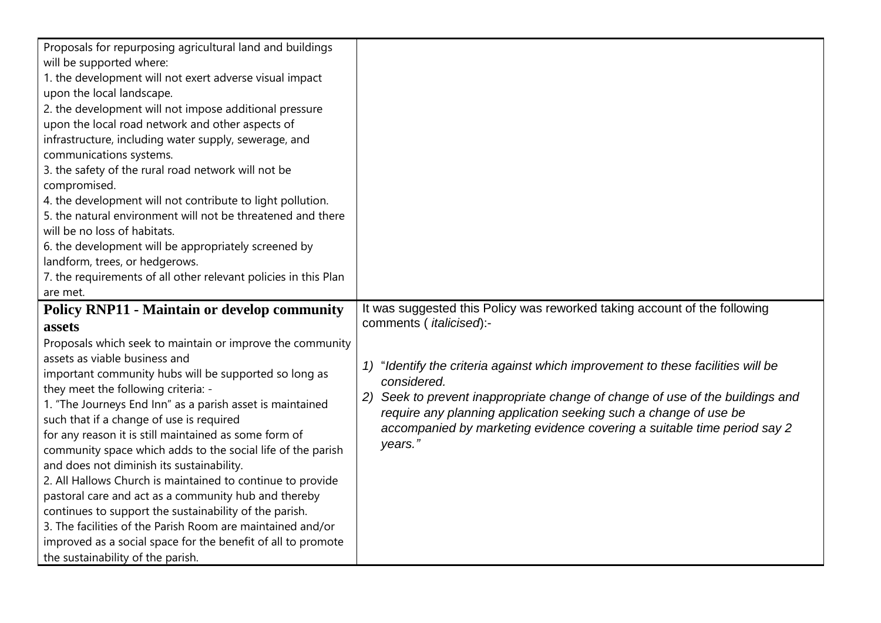| will be supported where:<br>1. the development will not exert adverse visual impact<br>upon the local landscape.<br>2. the development will not impose additional pressure<br>upon the local road network and other aspects of<br>infrastructure, including water supply, sewerage, and<br>communications systems.<br>3. the safety of the rural road network will not be<br>compromised.<br>4. the development will not contribute to light pollution.<br>5. the natural environment will not be threatened and there<br>will be no loss of habitats.<br>6. the development will be appropriately screened by<br>landform, trees, or hedgerows.<br>7. the requirements of all other relevant policies in this Plan                                                                                                         |                                                                                                                                                                                                                                                                                                                                           |
|-----------------------------------------------------------------------------------------------------------------------------------------------------------------------------------------------------------------------------------------------------------------------------------------------------------------------------------------------------------------------------------------------------------------------------------------------------------------------------------------------------------------------------------------------------------------------------------------------------------------------------------------------------------------------------------------------------------------------------------------------------------------------------------------------------------------------------|-------------------------------------------------------------------------------------------------------------------------------------------------------------------------------------------------------------------------------------------------------------------------------------------------------------------------------------------|
| are met.<br><b>Policy RNP11 - Maintain or develop community</b>                                                                                                                                                                                                                                                                                                                                                                                                                                                                                                                                                                                                                                                                                                                                                             | It was suggested this Policy was reworked taking account of the following                                                                                                                                                                                                                                                                 |
| assets                                                                                                                                                                                                                                                                                                                                                                                                                                                                                                                                                                                                                                                                                                                                                                                                                      | comments (italicised):-                                                                                                                                                                                                                                                                                                                   |
| Proposals which seek to maintain or improve the community<br>assets as viable business and<br>important community hubs will be supported so long as<br>they meet the following criteria: -<br>1. "The Journeys End Inn" as a parish asset is maintained<br>such that if a change of use is required<br>for any reason it is still maintained as some form of<br>community space which adds to the social life of the parish<br>and does not diminish its sustainability.<br>2. All Hallows Church is maintained to continue to provide<br>pastoral care and act as a community hub and thereby<br>continues to support the sustainability of the parish.<br>3. The facilities of the Parish Room are maintained and/or<br>improved as a social space for the benefit of all to promote<br>the sustainability of the parish. | "Identify the criteria against which improvement to these facilities will be<br>1)<br>considered.<br>Seek to prevent inappropriate change of change of use of the buildings and<br>require any planning application seeking such a change of use be<br>accompanied by marketing evidence covering a suitable time period say 2<br>years." |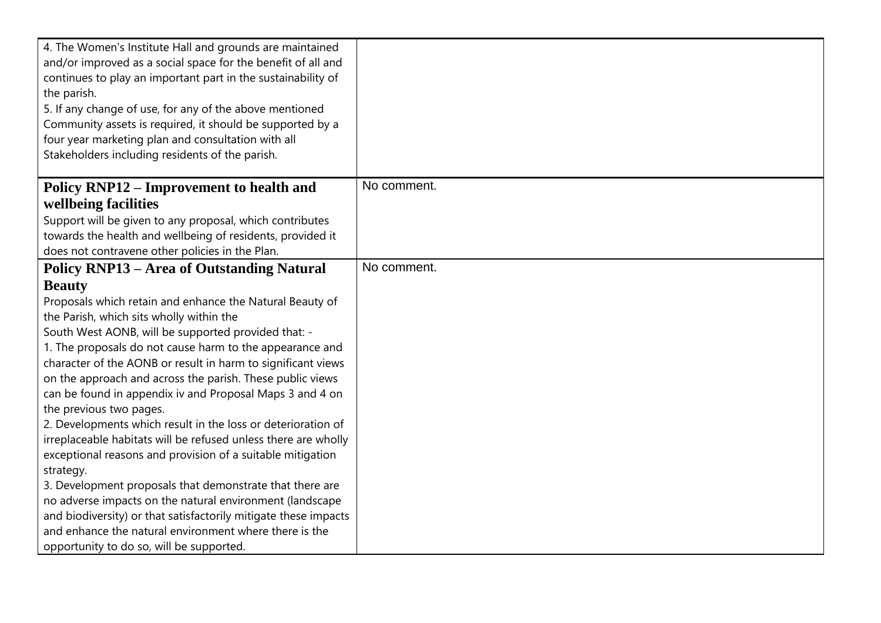| 4. The Women's Institute Hall and grounds are maintained<br>and/or improved as a social space for the benefit of all and<br>continues to play an important part in the sustainability of<br>the parish.<br>5. If any change of use, for any of the above mentioned<br>Community assets is required, it should be supported by a<br>four year marketing plan and consultation with all<br>Stakeholders including residents of the parish. |             |
|------------------------------------------------------------------------------------------------------------------------------------------------------------------------------------------------------------------------------------------------------------------------------------------------------------------------------------------------------------------------------------------------------------------------------------------|-------------|
| Policy RNP12 – Improvement to health and                                                                                                                                                                                                                                                                                                                                                                                                 | No comment. |
| wellbeing facilities                                                                                                                                                                                                                                                                                                                                                                                                                     |             |
| Support will be given to any proposal, which contributes                                                                                                                                                                                                                                                                                                                                                                                 |             |
| towards the health and wellbeing of residents, provided it                                                                                                                                                                                                                                                                                                                                                                               |             |
| does not contravene other policies in the Plan.                                                                                                                                                                                                                                                                                                                                                                                          |             |
| <b>Policy RNP13 - Area of Outstanding Natural</b>                                                                                                                                                                                                                                                                                                                                                                                        | No comment. |
| <b>Beauty</b>                                                                                                                                                                                                                                                                                                                                                                                                                            |             |
| Proposals which retain and enhance the Natural Beauty of                                                                                                                                                                                                                                                                                                                                                                                 |             |
| the Parish, which sits wholly within the                                                                                                                                                                                                                                                                                                                                                                                                 |             |
| South West AONB, will be supported provided that: -                                                                                                                                                                                                                                                                                                                                                                                      |             |
| 1. The proposals do not cause harm to the appearance and                                                                                                                                                                                                                                                                                                                                                                                 |             |
| character of the AONB or result in harm to significant views                                                                                                                                                                                                                                                                                                                                                                             |             |
| on the approach and across the parish. These public views                                                                                                                                                                                                                                                                                                                                                                                |             |
| can be found in appendix iv and Proposal Maps 3 and 4 on                                                                                                                                                                                                                                                                                                                                                                                 |             |
| the previous two pages.                                                                                                                                                                                                                                                                                                                                                                                                                  |             |
| 2. Developments which result in the loss or deterioration of                                                                                                                                                                                                                                                                                                                                                                             |             |
| irreplaceable habitats will be refused unless there are wholly<br>exceptional reasons and provision of a suitable mitigation                                                                                                                                                                                                                                                                                                             |             |
| strategy.                                                                                                                                                                                                                                                                                                                                                                                                                                |             |
| 3. Development proposals that demonstrate that there are                                                                                                                                                                                                                                                                                                                                                                                 |             |
| no adverse impacts on the natural environment (landscape                                                                                                                                                                                                                                                                                                                                                                                 |             |
| and biodiversity) or that satisfactorily mitigate these impacts                                                                                                                                                                                                                                                                                                                                                                          |             |
| and enhance the natural environment where there is the                                                                                                                                                                                                                                                                                                                                                                                   |             |
| opportunity to do so, will be supported.                                                                                                                                                                                                                                                                                                                                                                                                 |             |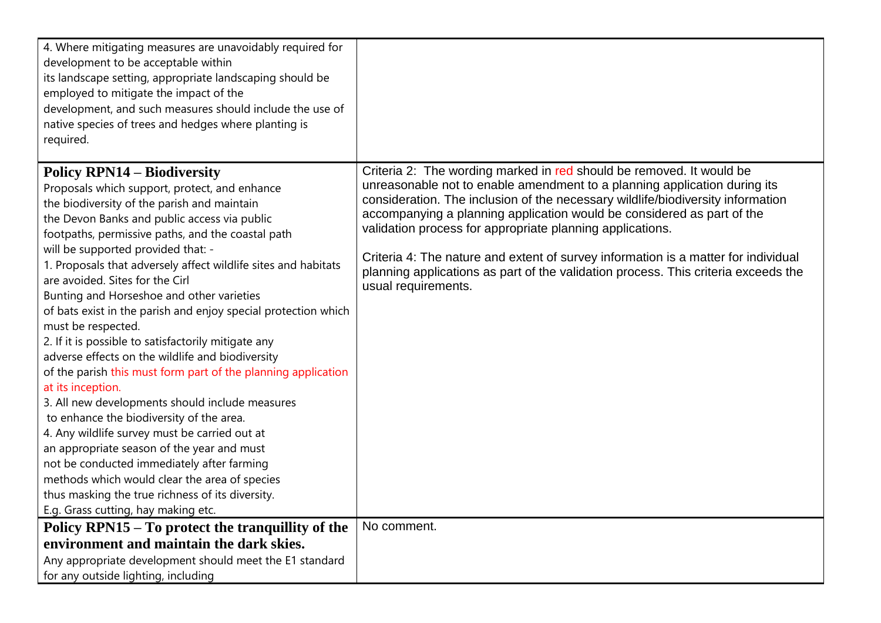| 4. Where mitigating measures are unavoidably required for<br>development to be acceptable within<br>its landscape setting, appropriate landscaping should be<br>employed to mitigate the impact of the<br>development, and such measures should include the use of<br>native species of trees and hedges where planting is<br>required.                                                                                                                                                                                                                                                                                                                                                                                                                                                                                                                                                                                                                                                                                                                                                                          |                                                                                                                                                                                                                                                                                                                                                                                                                                                                                                                                                                                |
|------------------------------------------------------------------------------------------------------------------------------------------------------------------------------------------------------------------------------------------------------------------------------------------------------------------------------------------------------------------------------------------------------------------------------------------------------------------------------------------------------------------------------------------------------------------------------------------------------------------------------------------------------------------------------------------------------------------------------------------------------------------------------------------------------------------------------------------------------------------------------------------------------------------------------------------------------------------------------------------------------------------------------------------------------------------------------------------------------------------|--------------------------------------------------------------------------------------------------------------------------------------------------------------------------------------------------------------------------------------------------------------------------------------------------------------------------------------------------------------------------------------------------------------------------------------------------------------------------------------------------------------------------------------------------------------------------------|
| <b>Policy RPN14 – Biodiversity</b><br>Proposals which support, protect, and enhance<br>the biodiversity of the parish and maintain<br>the Devon Banks and public access via public<br>footpaths, permissive paths, and the coastal path<br>will be supported provided that: -<br>1. Proposals that adversely affect wildlife sites and habitats<br>are avoided. Sites for the Cirl<br>Bunting and Horseshoe and other varieties<br>of bats exist in the parish and enjoy special protection which<br>must be respected.<br>2. If it is possible to satisfactorily mitigate any<br>adverse effects on the wildlife and biodiversity<br>of the parish this must form part of the planning application<br>at its inception.<br>3. All new developments should include measures<br>to enhance the biodiversity of the area.<br>4. Any wildlife survey must be carried out at<br>an appropriate season of the year and must<br>not be conducted immediately after farming<br>methods which would clear the area of species<br>thus masking the true richness of its diversity.<br>E.g. Grass cutting, hay making etc. | Criteria 2: The wording marked in red should be removed. It would be<br>unreasonable not to enable amendment to a planning application during its<br>consideration. The inclusion of the necessary wildlife/biodiversity information<br>accompanying a planning application would be considered as part of the<br>validation process for appropriate planning applications.<br>Criteria 4: The nature and extent of survey information is a matter for individual<br>planning applications as part of the validation process. This criteria exceeds the<br>usual requirements. |
| Policy RPN15 – To protect the tranquillity of the<br>environment and maintain the dark skies.                                                                                                                                                                                                                                                                                                                                                                                                                                                                                                                                                                                                                                                                                                                                                                                                                                                                                                                                                                                                                    | No comment.                                                                                                                                                                                                                                                                                                                                                                                                                                                                                                                                                                    |
| Any appropriate development should meet the E1 standard                                                                                                                                                                                                                                                                                                                                                                                                                                                                                                                                                                                                                                                                                                                                                                                                                                                                                                                                                                                                                                                          |                                                                                                                                                                                                                                                                                                                                                                                                                                                                                                                                                                                |
| for any outside lighting, including                                                                                                                                                                                                                                                                                                                                                                                                                                                                                                                                                                                                                                                                                                                                                                                                                                                                                                                                                                                                                                                                              |                                                                                                                                                                                                                                                                                                                                                                                                                                                                                                                                                                                |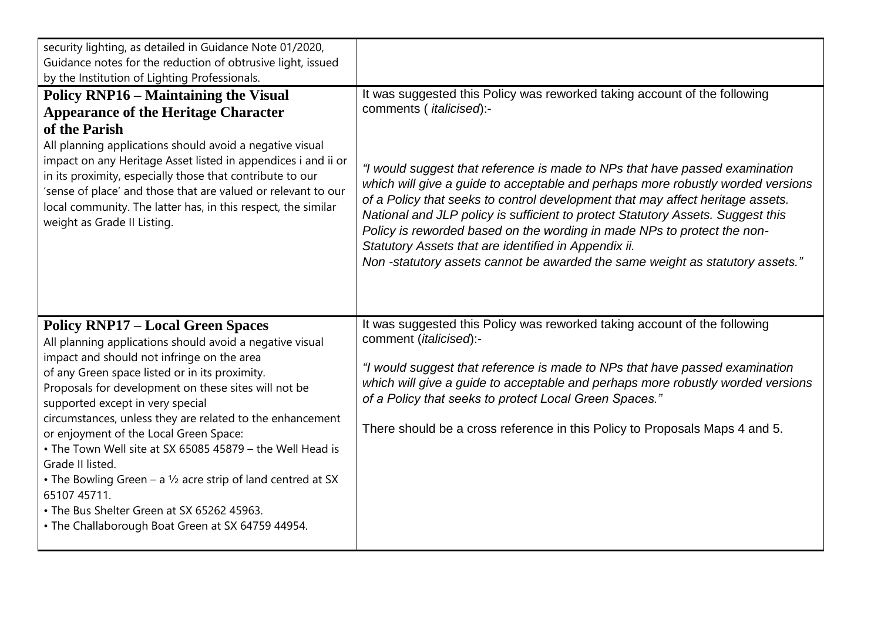| security lighting, as detailed in Guidance Note 01/2020,<br>Guidance notes for the reduction of obtrusive light, issued<br>by the Institution of Lighting Professionals.                                                                                                                                                                                                                                                                                                                                                                                                                                                                                                      |                                                                                                                                                                                                                                                                                                                                                                                                                                                                                                                                                                                                                                                                 |
|-------------------------------------------------------------------------------------------------------------------------------------------------------------------------------------------------------------------------------------------------------------------------------------------------------------------------------------------------------------------------------------------------------------------------------------------------------------------------------------------------------------------------------------------------------------------------------------------------------------------------------------------------------------------------------|-----------------------------------------------------------------------------------------------------------------------------------------------------------------------------------------------------------------------------------------------------------------------------------------------------------------------------------------------------------------------------------------------------------------------------------------------------------------------------------------------------------------------------------------------------------------------------------------------------------------------------------------------------------------|
| <b>Policy RNP16 – Maintaining the Visual</b><br><b>Appearance of the Heritage Character</b><br>of the Parish<br>All planning applications should avoid a negative visual<br>impact on any Heritage Asset listed in appendices i and ii or<br>in its proximity, especially those that contribute to our<br>'sense of place' and those that are valued or relevant to our<br>local community. The latter has, in this respect, the similar<br>weight as Grade II Listing.                                                                                                                                                                                                       | It was suggested this Policy was reworked taking account of the following<br>comments ( italicised):-<br>"I would suggest that reference is made to NPs that have passed examination<br>which will give a guide to acceptable and perhaps more robustly worded versions<br>of a Policy that seeks to control development that may affect heritage assets.<br>National and JLP policy is sufficient to protect Statutory Assets. Suggest this<br>Policy is reworded based on the wording in made NPs to protect the non-<br>Statutory Assets that are identified in Appendix ii.<br>Non-statutory assets cannot be awarded the same weight as statutory assets." |
| <b>Policy RNP17 - Local Green Spaces</b><br>All planning applications should avoid a negative visual<br>impact and should not infringe on the area<br>of any Green space listed or in its proximity.<br>Proposals for development on these sites will not be<br>supported except in very special<br>circumstances, unless they are related to the enhancement<br>or enjoyment of the Local Green Space:<br>• The Town Well site at SX 65085 45879 - the Well Head is<br>Grade II listed.<br>• The Bowling Green – a $1/2$ acre strip of land centred at SX<br>65107 45711.<br>• The Bus Shelter Green at SX 65262 45963.<br>• The Challaborough Boat Green at SX 64759 44954. | It was suggested this Policy was reworked taking account of the following<br>comment (italicised):-<br>"I would suggest that reference is made to NPs that have passed examination<br>which will give a guide to acceptable and perhaps more robustly worded versions<br>of a Policy that seeks to protect Local Green Spaces."<br>There should be a cross reference in this Policy to Proposals Maps 4 and 5.                                                                                                                                                                                                                                                  |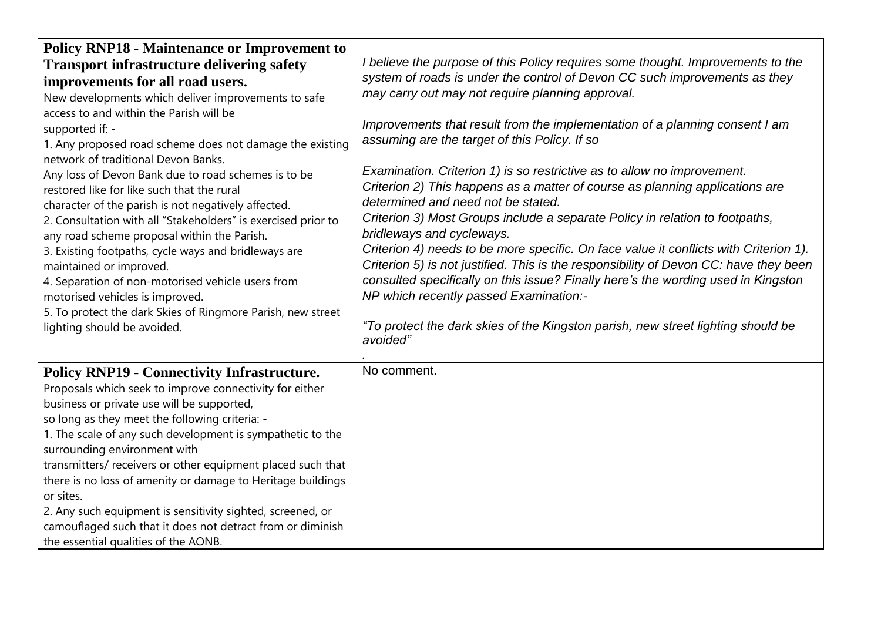| <b>Policy RNP18 - Maintenance or Improvement to</b><br><b>Transport infrastructure delivering safety</b><br>improvements for all road users.<br>New developments which deliver improvements to safe<br>access to and within the Parish will be<br>supported if: -<br>1. Any proposed road scheme does not damage the existing<br>network of traditional Devon Banks.<br>Any loss of Devon Bank due to road schemes is to be<br>restored like for like such that the rural<br>character of the parish is not negatively affected.<br>2. Consultation with all "Stakeholders" is exercised prior to<br>any road scheme proposal within the Parish.<br>3. Existing footpaths, cycle ways and bridleways are<br>maintained or improved.<br>4. Separation of non-motorised vehicle users from<br>motorised vehicles is improved.<br>5. To protect the dark Skies of Ringmore Parish, new street<br>lighting should be avoided. | I believe the purpose of this Policy requires some thought. Improvements to the<br>system of roads is under the control of Devon CC such improvements as they<br>may carry out may not require planning approval.<br>Improvements that result from the implementation of a planning consent I am<br>assuming are the target of this Policy. If so<br>Examination. Criterion 1) is so restrictive as to allow no improvement.<br>Criterion 2) This happens as a matter of course as planning applications are<br>determined and need not be stated.<br>Criterion 3) Most Groups include a separate Policy in relation to footpaths,<br>bridleways and cycleways.<br>Criterion 4) needs to be more specific. On face value it conflicts with Criterion 1).<br>Criterion 5) is not justified. This is the responsibility of Devon CC: have they been<br>consulted specifically on this issue? Finally here's the wording used in Kingston<br>NP which recently passed Examination:-<br>"To protect the dark skies of the Kingston parish, new street lighting should be<br>avoided" |
|---------------------------------------------------------------------------------------------------------------------------------------------------------------------------------------------------------------------------------------------------------------------------------------------------------------------------------------------------------------------------------------------------------------------------------------------------------------------------------------------------------------------------------------------------------------------------------------------------------------------------------------------------------------------------------------------------------------------------------------------------------------------------------------------------------------------------------------------------------------------------------------------------------------------------|----------------------------------------------------------------------------------------------------------------------------------------------------------------------------------------------------------------------------------------------------------------------------------------------------------------------------------------------------------------------------------------------------------------------------------------------------------------------------------------------------------------------------------------------------------------------------------------------------------------------------------------------------------------------------------------------------------------------------------------------------------------------------------------------------------------------------------------------------------------------------------------------------------------------------------------------------------------------------------------------------------------------------------------------------------------------------------|
| <b>Policy RNP19 - Connectivity Infrastructure.</b><br>Proposals which seek to improve connectivity for either<br>business or private use will be supported,<br>so long as they meet the following criteria: -<br>1. The scale of any such development is sympathetic to the<br>surrounding environment with<br>transmitters/receivers or other equipment placed such that<br>there is no loss of amenity or damage to Heritage buildings<br>or sites.<br>2. Any such equipment is sensitivity sighted, screened, or<br>camouflaged such that it does not detract from or diminish<br>the essential qualities of the AONB.                                                                                                                                                                                                                                                                                                 | No comment.                                                                                                                                                                                                                                                                                                                                                                                                                                                                                                                                                                                                                                                                                                                                                                                                                                                                                                                                                                                                                                                                      |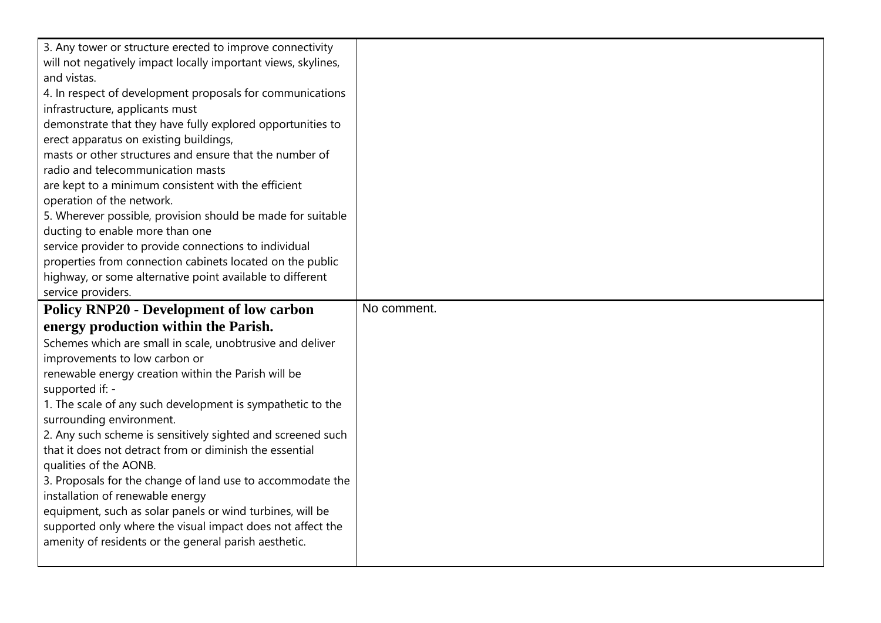| 3. Any tower or structure erected to improve connectivity     |             |
|---------------------------------------------------------------|-------------|
| will not negatively impact locally important views, skylines, |             |
| and vistas.                                                   |             |
| 4. In respect of development proposals for communications     |             |
| infrastructure, applicants must                               |             |
| demonstrate that they have fully explored opportunities to    |             |
| erect apparatus on existing buildings,                        |             |
| masts or other structures and ensure that the number of       |             |
| radio and telecommunication masts                             |             |
| are kept to a minimum consistent with the efficient           |             |
| operation of the network.                                     |             |
| 5. Wherever possible, provision should be made for suitable   |             |
| ducting to enable more than one                               |             |
| service provider to provide connections to individual         |             |
| properties from connection cabinets located on the public     |             |
| highway, or some alternative point available to different     |             |
| service providers.                                            |             |
|                                                               |             |
| <b>Policy RNP20 - Development of low carbon</b>               | No comment. |
| energy production within the Parish.                          |             |
| Schemes which are small in scale, unobtrusive and deliver     |             |
| improvements to low carbon or                                 |             |
| renewable energy creation within the Parish will be           |             |
| supported if: -                                               |             |
| 1. The scale of any such development is sympathetic to the    |             |
| surrounding environment.                                      |             |
| 2. Any such scheme is sensitively sighted and screened such   |             |
| that it does not detract from or diminish the essential       |             |
| qualities of the AONB.                                        |             |
| 3. Proposals for the change of land use to accommodate the    |             |
| installation of renewable energy                              |             |
| equipment, such as solar panels or wind turbines, will be     |             |
| supported only where the visual impact does not affect the    |             |
| amenity of residents or the general parish aesthetic.         |             |